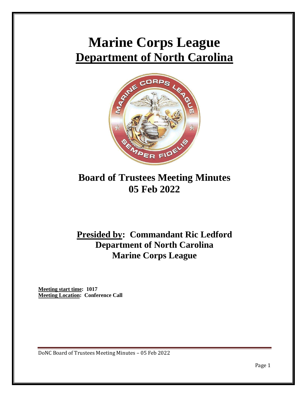# **Marine Corps League Department of North Carolina**



## **Board of Trustees Meeting Minutes 05 Feb 2022**

## **Presided by: Commandant Ric Ledford Department of North Carolina Marine Corps League**

**Meeting start time: 1017 Meeting Location: Conference Call**

DoNC Board of Trustees Meeting Minutes – 05 Feb 2022

Page 1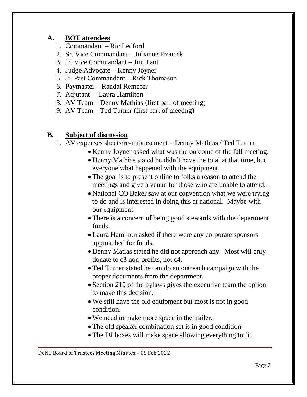### **A. BOT attendees**

- 1. Commandant Ric Ledford
- 2. Sr. Vice Commandant Julianne Froncek
- 3. Jr. Vice Commandant Jim Tant
- 4. Judge Advocate Kenny Joyner
- 5. Jr. Past Commandant Rick Thomason
- 6. Paymaster Randal Rempfer
- 7. Adjutant Laura Hamilton
- 8. AV Team Denny Mathias (first part of meeting)
- 9. AV Team Ted Turner (first part of meeting)

### **B. Subject of discussion**

- 1. AV expenses sheets/re-imbursement Denny Mathias / Ted Turner
	- Kenny Joyner asked what was the outcome of the fall meeting.
	- Denny Mathias stated he didn't have the total at that time, but everyone what happened with the equipment.
	- The goal is to present online to folks a reason to attend the meetings and give a venue for those who are unable to attend.
	- National CO Baker saw at our convention what we were trying to do and is interested in doing this at national. Maybe with our equipment.
	- There is a concern of being good stewards with the department funds.
	- Laura Hamilton asked if there were any corporate sponsors approached for funds.
	- Denny Matias stated he did not approach any. Most will only donate to c3 non-profits, not c4.
	- Ted Turner stated he can do an outreach campaign with the proper documents from the department.
	- Section 210 of the bylaws gives the executive team the option to make this decision.
	- We still have the old equipment but most is not in good condition.
	- We need to make more space in the trailer.
	- The old speaker combination set is in good condition.
	- The DJ boxes will make space allowing everything to fit.